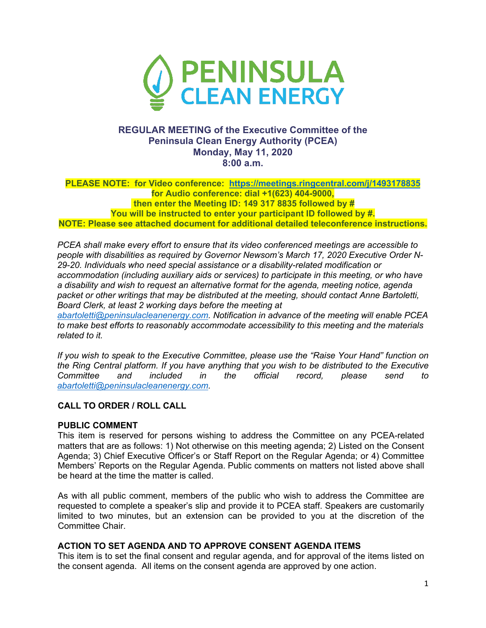

## **REGULAR MEETING of the Executive Committee of the Peninsula Clean Energy Authority (PCEA) Monday, May 11, 2020 8:00 a.m.**

**PLEASE NOTE: for Video conference: https://meetings.ringcentral.com/j/1493178835 for Audio conference: dial +1(623) 404-9000, then enter the Meeting ID: 149 317 8835 followed by # You will be instructed to enter your participant ID followed by #. NOTE: Please see attached document for additional detailed teleconference instructions.**

*PCEA shall make every effort to ensure that its video conferenced meetings are accessible to people with disabilities as required by Governor Newsom's March 17, 2020 Executive Order N-29-20. Individuals who need special assistance or a disability-related modification or accommodation (including auxiliary aids or services) to participate in this meeting, or who have a disability and wish to request an alternative format for the agenda, meeting notice, agenda packet or other writings that may be distributed at the meeting, should contact Anne Bartoletti, Board Clerk, at least 2 working days before the meeting at*

*abartoletti@peninsulacleanenergy.com. Notification in advance of the meeting will enable PCEA to make best efforts to reasonably accommodate accessibility to this meeting and the materials related to it.*

*If you wish to speak to the Executive Committee, please use the "Raise Your Hand" function on the Ring Central platform. If you have anything that you wish to be distributed to the Executive Committee and included in the official record, please send to abartoletti@peninsulacleanenergy.com.*

## **CALL TO ORDER / ROLL CALL**

### **PUBLIC COMMENT**

This item is reserved for persons wishing to address the Committee on any PCEA-related matters that are as follows: 1) Not otherwise on this meeting agenda; 2) Listed on the Consent Agenda; 3) Chief Executive Officer's or Staff Report on the Regular Agenda; or 4) Committee Members' Reports on the Regular Agenda. Public comments on matters not listed above shall be heard at the time the matter is called.

As with all public comment, members of the public who wish to address the Committee are requested to complete a speaker's slip and provide it to PCEA staff. Speakers are customarily limited to two minutes, but an extension can be provided to you at the discretion of the Committee Chair.

### **ACTION TO SET AGENDA AND TO APPROVE CONSENT AGENDA ITEMS**

This item is to set the final consent and regular agenda, and for approval of the items listed on the consent agenda. All items on the consent agenda are approved by one action.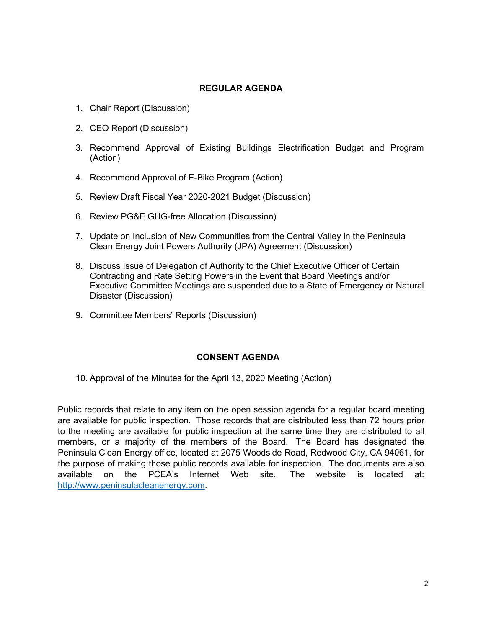### **REGULAR AGENDA**

- 1. Chair Report (Discussion)
- 2. CEO Report (Discussion)
- 3. Recommend Approval of Existing Buildings Electrification Budget and Program (Action)
- 4. Recommend Approval of E-Bike Program (Action)
- 5. Review Draft Fiscal Year 2020-2021 Budget (Discussion)
- 6. Review PG&E GHG-free Allocation (Discussion)
- 7. Update on Inclusion of New Communities from the Central Valley in the Peninsula Clean Energy Joint Powers Authority (JPA) Agreement (Discussion)
- 8. Discuss Issue of Delegation of Authority to the Chief Executive Officer of Certain Contracting and Rate Setting Powers in the Event that Board Meetings and/or Executive Committee Meetings are suspended due to a State of Emergency or Natural Disaster (Discussion)
- 9. Committee Members' Reports (Discussion)

### **CONSENT AGENDA**

10. Approval of the Minutes for the April 13, 2020 Meeting (Action)

Public records that relate to any item on the open session agenda for a regular board meeting are available for public inspection. Those records that are distributed less than 72 hours prior to the meeting are available for public inspection at the same time they are distributed to all members, or a majority of the members of the Board. The Board has designated the Peninsula Clean Energy office, located at 2075 Woodside Road, Redwood City, CA 94061, for the purpose of making those public records available for inspection. The documents are also available on the PCEA's Internet Web site. The website is located at: http://www.peninsulacleanenergy.com.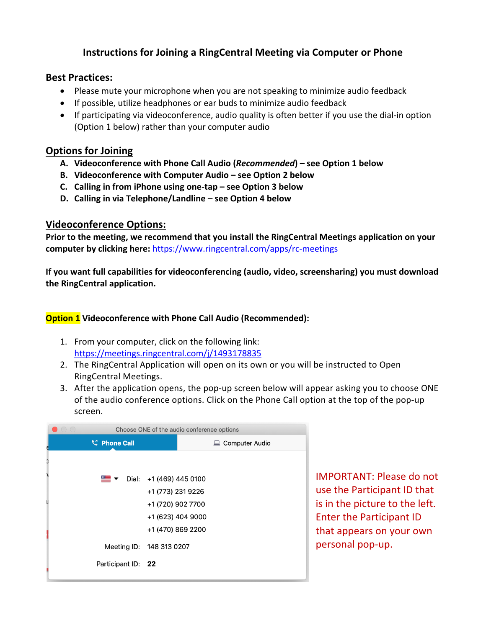# **Instructions for Joining a RingCentral Meeting via Computer or Phone**

## **Best Practices:**

- Please mute your microphone when you are not speaking to minimize audio feedback
- If possible, utilize headphones or ear buds to minimize audio feedback
- If participating via videoconference, audio quality is often better if you use the dial-in option (Option 1 below) rather than your computer audio

# **Options for Joining**

- **A. Videoconference with Phone Call Audio (***Recommended***) – see Option 1 below**
- **B. Videoconference with Computer Audio – see Option 2 below**
- **C. Calling in from iPhone using one-tap – see Option 3 below**
- **D. Calling in via Telephone/Landline – see Option 4 below**

# **Videoconference Options:**

**Prior to the meeting, we recommend that you install the RingCentral Meetings application on your computer by clicking here:** https://www.ringcentral.com/apps/rc-meetings

**If you want full capabilities for videoconferencing (audio, video, screensharing) you must download the RingCentral application.** 

# **Option 1 Videoconference with Phone Call Audio (Recommended):**

- 1. From your computer, click on the following link: https://meetings.ringcentral.com/j/1493178835
- 2. The RingCentral Application will open on its own or you will be instructed to Open RingCentral Meetings.
- 3. After the application opens, the pop-up screen below will appear asking you to choose ONE of the audio conference options. Click on the Phone Call option at the top of the pop-up screen.

| $\left(\begin{array}{c} \end{array}\right)$ | Choose ONE of the audio conference options             |                   |                   |                       |
|---------------------------------------------|--------------------------------------------------------|-------------------|-------------------|-----------------------|
|                                             | <b>V</b> Phone Call                                    |                   |                   | <b>Computer Audio</b> |
|                                             |                                                        |                   |                   |                       |
|                                             | $\equiv$ $\blacktriangleright$ Dial: +1 (469) 445 0100 |                   |                   |                       |
|                                             |                                                        | +1 (773) 231 9226 |                   |                       |
|                                             |                                                        | +1 (720) 902 7700 |                   |                       |
|                                             |                                                        |                   | +1 (623) 404 9000 |                       |
|                                             |                                                        | +1 (470) 869 2200 |                   |                       |
|                                             | Meeting ID: 148 313 0207                               |                   |                   |                       |
|                                             | Participant ID: 22                                     |                   |                   |                       |

IMPORTANT: Please do not use the Participant ID that is in the picture to the left. Enter the Participant ID that appears on your own personal pop-up.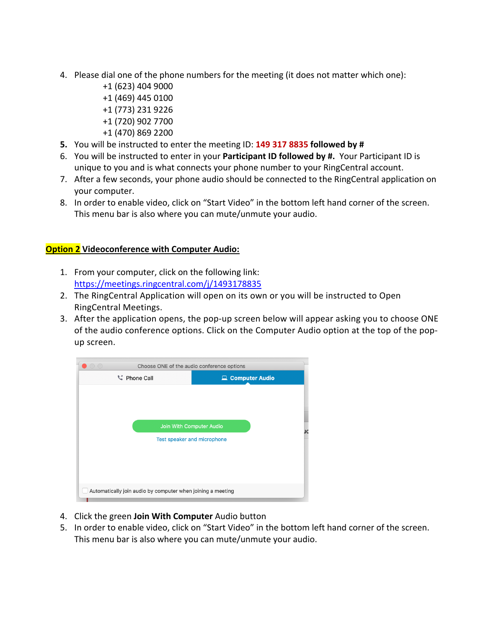- 4. Please dial one of the phone numbers for the meeting (it does not matter which one):
	- +1 (623) 404 9000 +1 (469) 445 0100 +1 (773) 231 9226 +1 (720) 902 7700
	- +1 (470) 869 2200
- **5.** You will be instructed to enter the meeting ID: **149 317 8835 followed by #**
- 6. You will be instructed to enter in your **Participant ID followed by #.** Your Participant ID is unique to you and is what connects your phone number to your RingCentral account.
- 7. After a few seconds, your phone audio should be connected to the RingCentral application on your computer.
- 8. In order to enable video, click on "Start Video" in the bottom left hand corner of the screen. This menu bar is also where you can mute/unmute your audio.

## **Option 2 Videoconference with Computer Audio:**

- 1. From your computer, click on the following link: https://meetings.ringcentral.com/j/1493178835
- 2. The RingCentral Application will open on its own or you will be instructed to Open RingCentral Meetings.
- 3. After the application opens, the pop-up screen below will appear asking you to choose ONE of the audio conference options. Click on the Computer Audio option at the top of the popup screen.



- 4. Click the green **Join With Computer** Audio button
- 5. In order to enable video, click on "Start Video" in the bottom left hand corner of the screen. This menu bar is also where you can mute/unmute your audio.